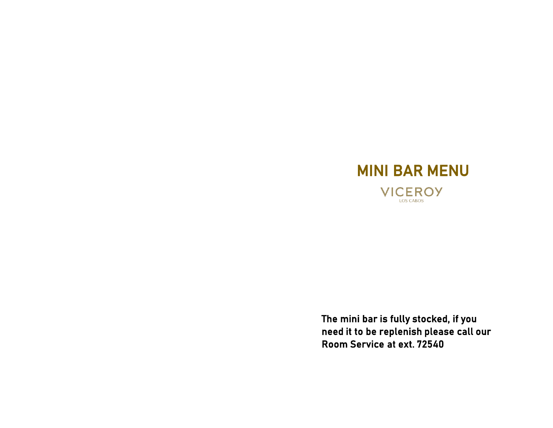

The mini bar is fully stocked, if you need it to be replenish please call our Room Service at ext. 72540